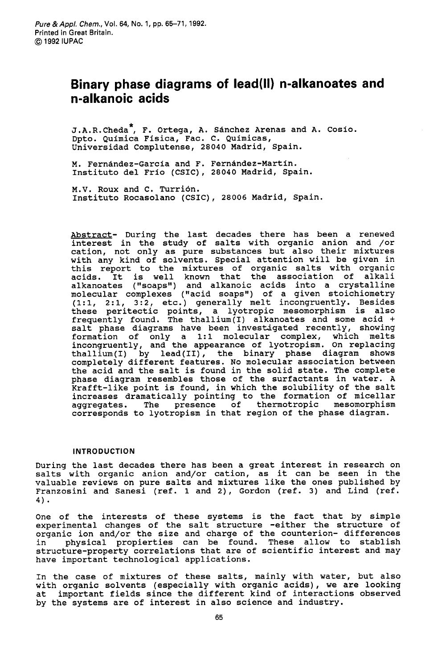# **Binary phase diagrams of lead(l1) n-alkanoates and n-alkanoic acids**

J.A.R.Cheda<sup>\*</sup>, F. Ortega, A. Sánchez Arenas and A. Cosio. Dpto. Quimica Fisica, Fac. C. Quimicas, Universidad Complutense, **28040** Madrid, Spain.

M. Fernandez-Garcia and F. Fernandez-Martin. Instituto del Frio (CSIC), **28040** Madrid, Spain.

M.V. Roux and C. Turrión. Instituto Rocasolano (CSIC), **28006** Madrid, Spain.

Abstract- During the last decades there has been a renewed interest in the study of salts with organic anion and /or cation, not only as pure substances but also their mixtures with any kind of solvents. Special attention will be given in this report to the mixtures of organic salts with organic acids. It is well known that the association of alkali alkanoates ("soaps") and alkanoic acids into a crystalline molecular complexes ("acid soaps") of a given stoichiometry **(l:l, 2:1, 3:2,** etc.) generally melt incongruently. Besides these peritectic points, a lyotropic mesomorphism is also frequently found. The thallium(1) alkanoates and some acid + salt phase diagrams have been investigated recently, showing formation of only a **1:l** molecular complex, which melts incongruently, and the appearance of lyotropism. On replacing thallium(I) by lead(II), the binary phase diagram shows completely different features. No molecular association between the acid and the salt is found in the solid state. The complete phase diagram resembles those of the surfactants in water. A Krafft-like point is found, in which the solubility of the salt increases dramatically pointing to the formation of micellar aggregates. The presence of thermotropic mesomorphism corresponds to lyotropism in that region of the phase diagram.

## **INTRODUCTION**

During the last decades there has been a great interest in research on salts with organic anion and/or cation, as it can be seen in the valuable reviews on pure salts and mixtures like the ones published by Franzosini and Sanesi (ref. 1 and **2),** Gordon (ref. **3)** and Lind (ref. **4)** -

One of the interests of these systems is the fact that by simple experimental changes of the salt structure -either the structure of organic ion and/or the size and charge of the counterion- differences in physical propierties can be found. These allow to stablish structure-property correlations that are of scientific interest and may have important technological applications.

In the case of mixtures of these salts, mainly with water, but also with organic solvents (especially with organic acids), we are looking at important fields since the different kind of interactions observed by the systems are of interest in also science and industry.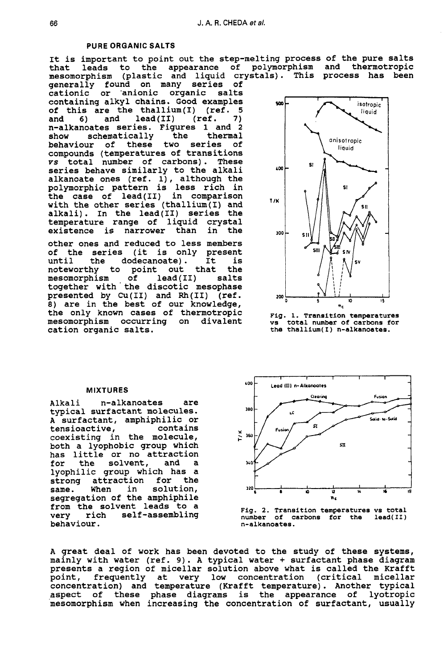#### **PURE ORGANIC SALTS**

# It is important to point out the step-melting process of the pure salts that leads to the appearance of polymorphism and thermotropic mesomorphism (plastic and liquid crystals). This process has been

generally found on many series of cationic or 'anionic organic salts containing alkyl chains. Good examples of this are the thallium(1) (ref. **5**   $lead(II)$ n-alkanoates series. Figures 1 and **<sup>2</sup>** schematically the thermal<br>ur of these two series of behaviour of these two series compounds (temperatures of transitions *YS* total number of carbons). These series behave similarly to the alkali series behave similarly to the alkali<br>alkanoate ones (ref. 1), although the polymorphic pattern is less rich in the case of lead(I1) in comparison with the other series (thallium(1) and alkali). In the lead(I1) series the temperature range of liquid crystal existence is narrower than

other ones and reduced to less members of the series (it is only present<br>until the dodecanoate). It is dodecanoate). It is<br>point out that the noteworthy to point out that the<br>mesomorphism of lead(II) salts mesomorphism of lead(II) salts together with the discotic mesophase presented by Cu(I1) and **Rh(I1)** (ref. *8)* are in the best of our knowledge, the only known cases of thermotropic mesomorphism occurring on divalent cation organic salts.



**Fig. 1. Transition temperatures vs total number of carbons** for **the thallium(1) n-alkanoates.** 

## **MIXTURES**

Alkali n-alkanoates are typical surfactant molecules. A surfactant, amphiphilic or tensioactive, coexisting in the molecule,<br>both a lyophobic group which has little or no attraction<br>for the solvent, and a for the solvent, and a lyophilic group which has a strong attraction for the<br>same. When in solution, same. When in segregation of the amphiphile from the solvent leads to a<br>very rich self-assembling self-assembling behaviour.



**Fig. 2. Transition temperatures vs total number of carbons for the lead(I1) n-alkanoates.** 

A great deal of work has been devoted to the study of these systems, mainly with water (ref. 9). A typical water + surfactant phase diagram presents a region of micellar solution above what is called the Krafft point, frequently at very low concentration (critical micellar concentration) and temperature (Krafft temperature). Another typical aspect of these phase diagrams is the appearance of lyotropic mesomorphism when increasing the concentration of surfactant, usually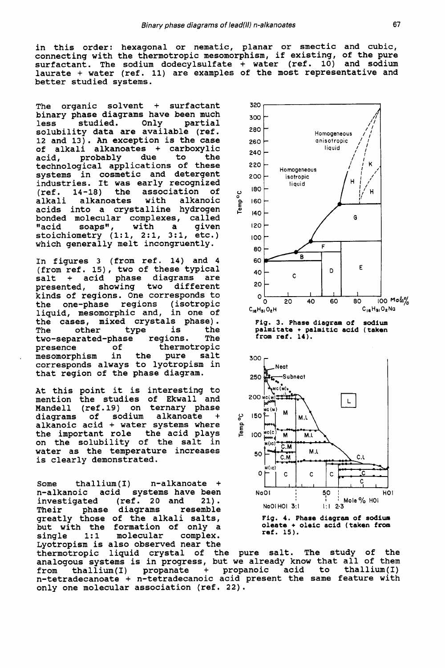in this order: hexagonal or nematic, planar or smectic and cubic, connecting with the thermotropic mesomorphism, if existing, of the pure surfactant. The sodium dodecylsulfate + water (ref. 10) and sodium laurate + water (ref. 11) are examples of the most representative and better studied systems.

The organic solvent + surfactant binary phase diagrams have been much<br>less studied. Only partial less studied. Only partial solubility data are available (ref. 12 and 13). *An* exception is the case of alkali alkanoates + carboxylic acid, probably due to the technological applications of these systems in cosmetic and detergent industries. It was early recognized<br>(ref. 14-18) the association of (ref. 14-18) the association of alkali alkanoates with alkanoic acids into a crystalline hydrogen bonded molecular complexes, called<br>"acid soaps", with a given "acid soaps", with a given stoichiometry (l:l, 2:1, 3:1, etc.) which generally melt incongruently.

In figures **3** (from ref. 14) and **4**  (from ref. 15), two of these typical salt + acid phase diagrams are<br>presented, showing two different showing two different kinds of regions. One corresponds to the one-phase regions (isotropic liquid, mesomorphic and, in one of the cases, mixed crystals phase).<br>The other type is the The other type is<br>two-separated-phase regions. two-separated-phase regions. The thermotropic , mesomorphism in the pure salt corresponds always to lyotropism in that region of the phase diagram.

At this point it is interesting to mention the studies of Ekwall and Mandell (ref.19) on ternary phase<br>diagrams of sodium alkanoate + diagrams of sodium alkanoate + alkanoic acid + water systems where the important role the acid plays on the solubility of the salt in water as the temperature increases is clearly demonstrated.

Some thallium(I) n-alkanoate + n-alkanoic acid systems have been<br>investigated (ref. 20 and 21). (ref. 20 and 21).<br>diagrams resemble Their phase diagrams greatly those of the alkali salts, but with the formation of only a<br>single 1:1 molecular complex. single 1:1 molecular Lyotropism is also observed near the

thermotropic liquid crystal of the pure salt. The study of the analogous systems is in progress, but we already know that ail of them from thallium(1) propanate + propanoic acid to thallium(1) n-tetradecanoate + n-tetradecanoic acid present the same feature with only one molecular association (ref. 22).





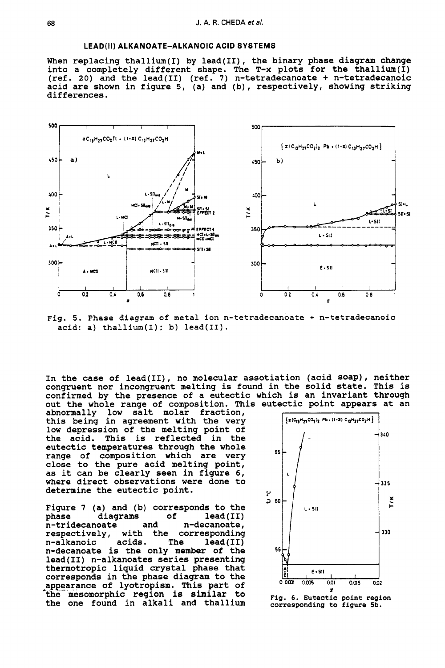## **LEAD(1I) ALKANOATE-ALKANOIC ACID SYSTEMS**

When replacing thallium(1) by lead(II), the binary phase diagram change into a completely different shape. The T-x plots for the thallium(1) (ref. *20)* and the lead(I1) (ref. **7)** n-tetradecanoate + n-tetradecanoic acid are shown in figure 5, (a) and (b), respectively, showing striking differences.



Fig. **5.** Phase diagram of metal ion n-tetradecanoate + n-tetradecanoic  $acid: a)$  thallium $(I): b)$  lead $(II).$ 

In the case of lead(II), no molecular assotiation (acid soap), neither congruent nor incongruent melting is found in the solid state. This is confirmed by the presence of a eutectic which is an invariant through out the whole range of composition. This eutectic point appears at an

abnormally low salt molar fraction, low depression of the melting point of<br>the acid. This is reflected in the This is reflected in the eutectic temperatures through the whole range of composition which are very close to the pure acid melting point, as it can be clearly seen in figure *6,*  determine the eutectic point. this being in agreement with the very where direct observations were done to

Figure **7** (a) and (b) corresponds to the phase diagrams of lead(II)<br>n-tridecanoate and n-decanoate, n-tridecanoate<br>respectively, with the corresponding n-alkanoic acids. The lead(I1) n-decanoate is the only member of the **<sup>55</sup>** lead(I1) n-alkanoates series presenting thermotropic liquid crystal phase that corresponds in the phase diagram to the the mesomorphic region is similar to the one found in alkali and thallium

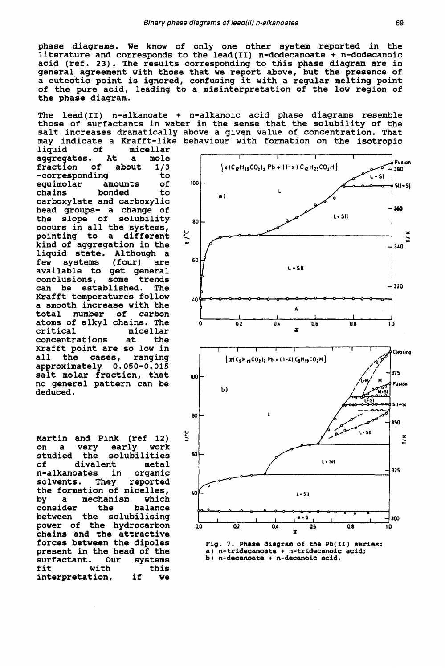**phase diagrams. We know of only one other system reported in the literature and corresponds to the lead(I1) n-dodecanoate** + **n-dodecanoic acid (ref. 23). The results corresponding to this phase diagram are in general agreement with those that we report above, but the presence of a eutectic point is ignored, confusing it with a regular melting point of the pure acid, leading to a misinterpretation of the low region of the phase diagram.** 

**The lead(I1) n-alkanoate** + **n-alkanoic acid phase diagrams resemble those of surfactants in water in the sense that the solubility of the salt increases dramatically above a given value of concentration. That may indicate a Krafft-like behaviour with formation on the isotropic** 

**liquid of micellar aggregates. At a mole**  fraction **-corresponding to equimolar amounts of chains bonded to carboxylate and carboxylic head groups- a change of the slope of solubility occurs in all the systems, pointing to a different kind of aggregation in the liquid state. Although a few systems (four) are available to get general conclusions, some trends can be established. The Krafft temperatures follow a smooth increase with the**  total number **atoms of alkyl chains. The critical micellar concentrations at the Krafft point are so low in all the cases, ranging approximately 0.050-0.015 salt molar fraction, that no general pattern can be deduced.** 

**Martin and Pink (ref 12) on a very early work studied the solubilities of divalent metal n-alkanoates** in<br>solvents. They **solvents. They reported the formation of micelles,**  mechanism<br>the **consider the balance between the solubilising power of the hydrocarbon chains and the attractive forces between the dipoles present in the head of the surfactant. Our systems with the set of**<br>tion, if **interpretation, if we** 



**Fig. 7. Phase diagram of the Pb(I1) series: a) n-tridecanoate** + **n-tridecanoic acid; b) n-decanoate** + **n-decanoic acid.**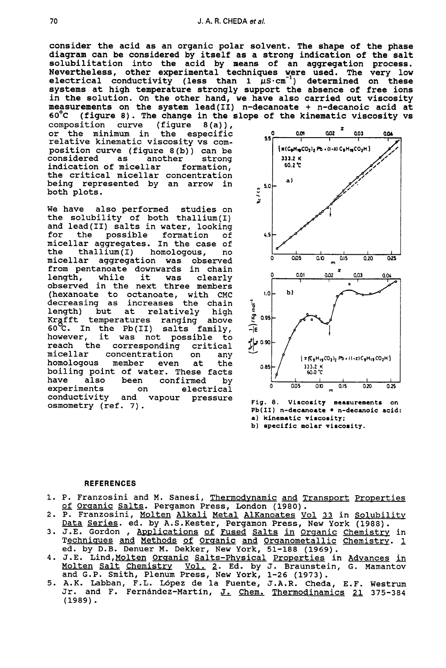consider the acid as an organic polar solvent. The shape of the phase diagram can be considered by itself as a strong indication of the salt solubilitation into the acid by means of an aggregation process. Nevertheless, other experimental techniques were used. The very low electrical conductivity (less than  $1 \mu S \cdot cm^{-1}$ ) determined on these systems at high temperature strongly support the absence of free ions in the solution. On the other hand, we have also carried out viscosity measurements on the system lead(I1) n-decanoate + n-decanoic acid at **6OoC** (figure **8).** The change in the slope of the kinematic viscosity vs

composition curve (figure 8(a)),<br>or the minimum in the especific relative kinematic viscosity vs composition curve (figure 8(b)) can be<br>considered as another strong considered as another strong<br>indication of micellar formation, indication of micellar the critical micellar concentration being represented by an arrow in both plots.

We have also performed studies on the solubility of both thallium(1) and lead(I1) salts in water, looking for the possible formation of micellar aggregates. In the case of<br>the thallium(I) homologous, no thallium(I) homologous, no<br>ar aggregation was observed micellar aggregation was from pentanoate downwards in chain<br>length, while it was clearly length, observed in the next three members (hexanoate to octanoate, with CMC decreasing as increases the chain length) but at relatively high<br>Krąfft temperatures ranging above Krafft temperatures ranging  $60^{\circ}\text{C}$ . In the Pb(II) salts family,<br>however, it was not possible to it was not possible to<br>e corresponding critical reach the corresponding<br>micellar concentration concentration on any<br>member even at the homologous boiling point of water. These facts<br>have also been confirmed by have also been confirmed by<br>experiments on electrical experiments on electrical conductivity and vapour pressure osmometry (ref. 7).



**Fig. 8. Viscosity measurements on Pb(I1) n-dccanoate n-decanoic acid: a) kinematic viscosity: b) specific molar viscosity.** 

#### **REFERENCES**

- 1. P. Franzosini and M. Sanesi, <u>Thermodynamic and Transport Properties</u><br>- <u>of Organic Salts</u>. Pergamon Press, London (1980).<br>- P. Franzosini, Molten Alkali Metal Alkanoates Vol. 33 in Solubility. REFERENCES<br>P. Franzosini and M. Sanesi, <u>Thermodynamic</u> and <u>Transport Propertiof Organic Salts</u>. Pergamon Press, London (1980).<br>P. Franzosini, <u>Molten Alkali Metal AlKanoates Vol 33</u> in <u>Solubili</u><br>Data Series. ed. by A.S.
- of Organic Salts. Pergamon Press, London (1980).<br>2. P. Franzosini, <u>Molten Alkali Metal AlKanoates Vol 33</u> in <u>Solubility</u><br>Data Series. ed. by A.S.Kester, Pergamon Press, New York (1988).
- 3. J.E. Gordon, Applications of Fused Salts in Organic Chemistry in Techniques and Methods of Organic and Organometallic Chemistry. 1 ed. by D.B. Denuer M. Dekker, New York, 51-188 (1969).
- **4. J.E. Lind, Molten Organic Salts-Physical Properties in Advances in** Molten Salt Chemistry vol. **2.** Ed. by J. Braunstein, *G.* Mamantov and G.P. Smith, Plenum Press, New York, 1-26 (1973).
- 5. A.K. Labban, F.L. Lopez de la Fuente, J.A.R. Cheda, E.F. Westrum Jr. and F. Fernbndez-Martin, **J.** Chem. Thermodinamics *21* 375-384 (1989).